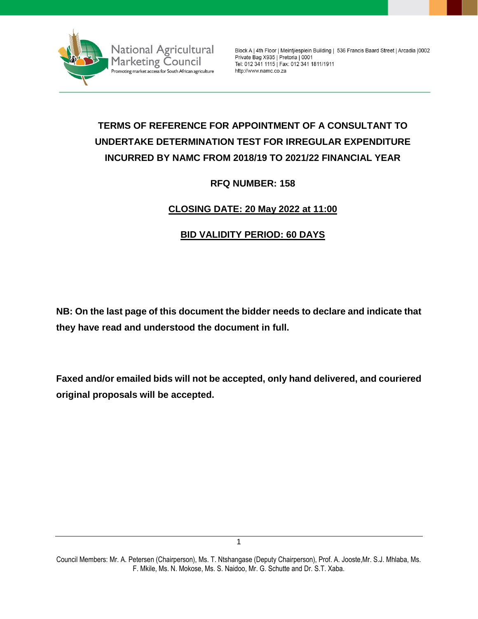

Block A | 4th Floor | Meintjiesplein Building | 536 Francis Baard Street | Arcadia | 0002 Private Bag X935 | Pretoria | 0001 Tel: 012 341 1115 | Fax: 012 341 1811/1911 http://www.namc.co.za

# **TERMS OF REFERENCE FOR APPOINTMENT OF A CONSULTANT TO UNDERTAKE DETERMINATION TEST FOR IRREGULAR EXPENDITURE INCURRED BY NAMC FROM 2018/19 TO 2021/22 FINANCIAL YEAR**

## **RFQ NUMBER: 158**

# **CLOSING DATE: 20 May 2022 at 11:00**

# **BID VALIDITY PERIOD: 60 DAYS**

**NB: On the last page of this document the bidder needs to declare and indicate that they have read and understood the document in full.**

**Faxed and/or emailed bids will not be accepted, only hand delivered, and couriered original proposals will be accepted.**

Council Members: Mr. A. Petersen (Chairperson), Ms. T. Ntshangase (Deputy Chairperson), Prof. A. Jooste,Mr. S.J. Mhlaba, Ms. F. Mkile, Ms. N. Mokose, Ms. S. Naidoo, Mr. G. Schutte and Dr. S.T. Xaba.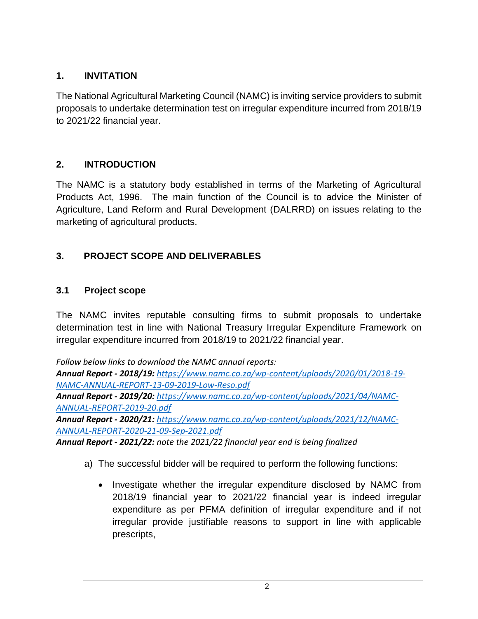# **1. INVITATION**

The National Agricultural Marketing Council (NAMC) is inviting service providers to submit proposals to undertake determination test on irregular expenditure incurred from 2018/19 to 2021/22 financial year.

# **2. INTRODUCTION**

The NAMC is a statutory body established in terms of the Marketing of Agricultural Products Act, 1996. The main function of the Council is to advice the Minister of Agriculture, Land Reform and Rural Development (DALRRD) on issues relating to the marketing of agricultural products.

# **3. PROJECT SCOPE AND DELIVERABLES**

## **3.1 Project scope**

The NAMC invites reputable consulting firms to submit proposals to undertake determination test in line with National Treasury Irregular Expenditure Framework on irregular expenditure incurred from 2018/19 to 2021/22 financial year.

*Follow below links to download the NAMC annual reports: Annual Report - 2018/19: [https://www.namc.co.za/wp-content/uploads/2020/01/2018-19-](https://www.namc.co.za/wp-content/uploads/2020/01/2018-19-NAMC-ANNUAL-REPORT-13-09-2019-Low-Reso.pdf) [NAMC-ANNUAL-REPORT-13-09-2019-Low-Reso.pdf](https://www.namc.co.za/wp-content/uploads/2020/01/2018-19-NAMC-ANNUAL-REPORT-13-09-2019-Low-Reso.pdf) Annual Report - 2019/20: [https://www.namc.co.za/wp-content/uploads/2021/04/NAMC-](https://www.namc.co.za/wp-content/uploads/2021/04/NAMC-ANNUAL-REPORT-2019-20.pdf)[ANNUAL-REPORT-2019-20.pdf](https://www.namc.co.za/wp-content/uploads/2021/04/NAMC-ANNUAL-REPORT-2019-20.pdf)*

*Annual Report - 2020/21: [https://www.namc.co.za/wp-content/uploads/2021/12/NAMC-](https://www.namc.co.za/wp-content/uploads/2021/12/NAMC-ANNUAL-REPORT-2020-21-09-Sep-2021.pdf)[ANNUAL-REPORT-2020-21-09-Sep-2021.pdf](https://www.namc.co.za/wp-content/uploads/2021/12/NAMC-ANNUAL-REPORT-2020-21-09-Sep-2021.pdf)*

*Annual Report - 2021/22: note the 2021/22 financial year end is being finalized*

- a) The successful bidder will be required to perform the following functions:
	- Investigate whether the irregular expenditure disclosed by NAMC from 2018/19 financial year to 2021/22 financial year is indeed irregular expenditure as per PFMA definition of irregular expenditure and if not irregular provide justifiable reasons to support in line with applicable prescripts,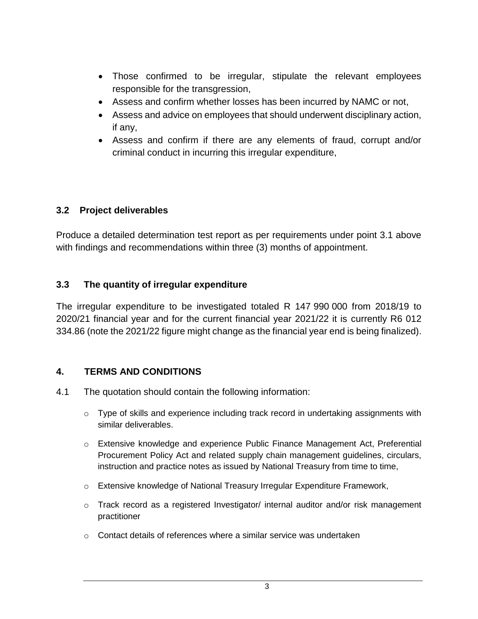- Those confirmed to be irregular, stipulate the relevant employees responsible for the transgression,
- Assess and confirm whether losses has been incurred by NAMC or not,
- Assess and advice on employees that should underwent disciplinary action, if any,
- Assess and confirm if there are any elements of fraud, corrupt and/or criminal conduct in incurring this irregular expenditure,

## **3.2 Project deliverables**

Produce a detailed determination test report as per requirements under point 3.1 above with findings and recommendations within three (3) months of appointment.

### **3.3 The quantity of irregular expenditure**

The irregular expenditure to be investigated totaled R 147 990 000 from 2018/19 to 2020/21 financial year and for the current financial year 2021/22 it is currently R6 012 334.86 (note the 2021/22 figure might change as the financial year end is being finalized).

### **4. TERMS AND CONDITIONS**

- 4.1 The quotation should contain the following information:
	- $\circ$  Type of skills and experience including track record in undertaking assignments with similar deliverables.
	- o Extensive knowledge and experience Public Finance Management Act, Preferential Procurement Policy Act and related supply chain management guidelines, circulars, instruction and practice notes as issued by National Treasury from time to time,
	- o Extensive knowledge of National Treasury Irregular Expenditure Framework,
	- $\circ$  Track record as a registered Investigator/ internal auditor and/or risk management practitioner
	- $\circ$  Contact details of references where a similar service was undertaken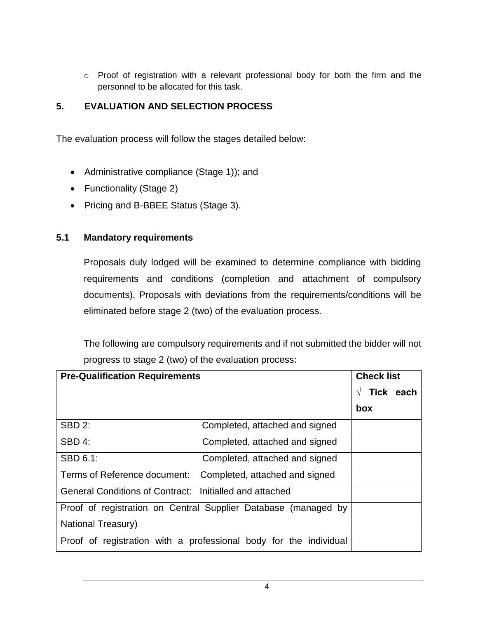o Proof of registration with a relevant professional body for both the firm and the personnel to be allocated for this task.

# **5. EVALUATION AND SELECTION PROCESS**

The evaluation process will follow the stages detailed below:

- Administrative compliance (Stage 1)); and
- Functionality (Stage 2)
- Pricing and B-BBEE Status (Stage 3).

### **5.1 Mandatory requirements**

Proposals duly lodged will be examined to determine compliance with bidding requirements and conditions (completion and attachment of compulsory documents). Proposals with deviations from the requirements/conditions will be eliminated before stage 2 (two) of the evaluation process.

The following are compulsory requirements and if not submitted the bidder will not progress to stage 2 (two) of the evaluation process:

| <b>Pre-Qualification Requirements</b>                   |                                                                   | <b>Check list</b> |           |
|---------------------------------------------------------|-------------------------------------------------------------------|-------------------|-----------|
|                                                         |                                                                   |                   | Tick each |
|                                                         |                                                                   | box               |           |
| <b>SBD 2:</b>                                           | Completed, attached and signed                                    |                   |           |
| SBD 4:                                                  | Completed, attached and signed                                    |                   |           |
| SBD 6.1:                                                | Completed, attached and signed                                    |                   |           |
| Terms of Reference document:                            | Completed, attached and signed                                    |                   |           |
| General Conditions of Contract: Initialled and attached |                                                                   |                   |           |
|                                                         | Proof of registration on Central Supplier Database (managed by    |                   |           |
| National Treasury)                                      |                                                                   |                   |           |
|                                                         | Proof of registration with a professional body for the individual |                   |           |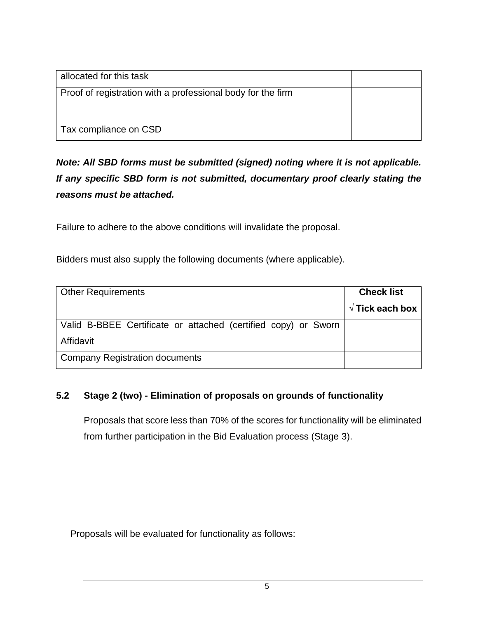| allocated for this task                                     |  |
|-------------------------------------------------------------|--|
| Proof of registration with a professional body for the firm |  |
|                                                             |  |
| Tax compliance on CSD                                       |  |

*Note: All SBD forms must be submitted (signed) noting where it is not applicable. If any specific SBD form is not submitted, documentary proof clearly stating the reasons must be attached.*

Failure to adhere to the above conditions will invalidate the proposal.

Bidders must also supply the following documents (where applicable).

| <b>Other Requirements</b>                                      | <b>Check list</b>        |
|----------------------------------------------------------------|--------------------------|
|                                                                | $\sqrt{ }$ Tick each box |
| Valid B-BBEE Certificate or attached (certified copy) or Sworn |                          |
| Affidavit                                                      |                          |
| <b>Company Registration documents</b>                          |                          |

# **5.2 Stage 2 (two) - Elimination of proposals on grounds of functionality**

Proposals that score less than 70% of the scores for functionality will be eliminated from further participation in the Bid Evaluation process (Stage 3).

Proposals will be evaluated for functionality as follows: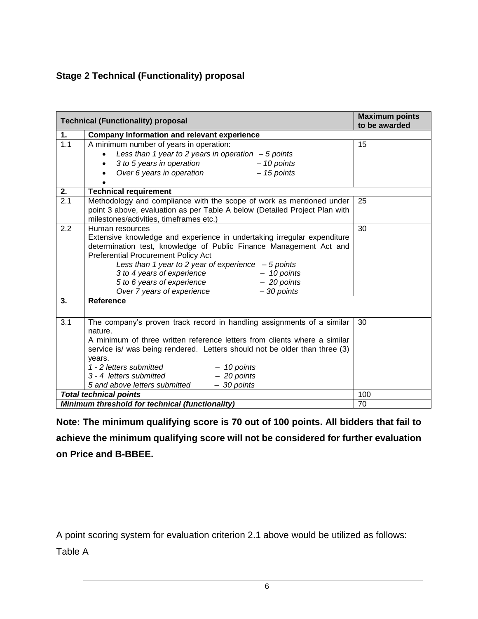# **Stage 2 Technical (Functionality) proposal**

|     | <b>Technical (Functionality) proposal</b>                                  | <b>Maximum points</b><br>to be awarded |
|-----|----------------------------------------------------------------------------|----------------------------------------|
| 1.  | <b>Company Information and relevant experience</b>                         |                                        |
| 1.1 | A minimum number of years in operation:                                    | 15                                     |
|     | Less than 1 year to 2 years in operation $-5$ points                       |                                        |
|     | 3 to 5 years in operation<br>$-10$ points                                  |                                        |
|     | Over 6 years in operation<br>$-15$ points                                  |                                        |
|     |                                                                            |                                        |
| 2.  | <b>Technical requirement</b>                                               |                                        |
| 2.1 | Methodology and compliance with the scope of work as mentioned under       | 25                                     |
|     | point 3 above, evaluation as per Table A below (Detailed Project Plan with |                                        |
|     | milestones/activities, timeframes etc.)                                    |                                        |
| 2.2 | Human resources                                                            | 30                                     |
|     | Extensive knowledge and experience in undertaking irregular expenditure    |                                        |
|     | determination test, knowledge of Public Finance Management Act and         |                                        |
|     | Preferential Procurement Policy Act                                        |                                        |
|     | Less than 1 year to 2 year of experience $-5$ points                       |                                        |
|     | 3 to 4 years of experience<br>$-10$ points                                 |                                        |
|     | 5 to 6 years of experience<br>$-20$ points                                 |                                        |
| 3.  | Over 7 years of experience<br>$-30$ points<br><b>Reference</b>             |                                        |
|     |                                                                            |                                        |
|     |                                                                            |                                        |
| 3.1 | The company's proven track record in handling assignments of a similar     | 30                                     |
|     | nature.                                                                    |                                        |
|     | A minimum of three written reference letters from clients where a similar  |                                        |
|     | service is/ was being rendered. Letters should not be older than three (3) |                                        |
|     | years.<br>1 - 2 letters submitted<br>$-10$ points                          |                                        |
|     | 3 - 4 letters submitted<br>$-20$ points                                    |                                        |
|     | $-30$ points<br>5 and above letters submitted                              |                                        |
|     | <b>Total technical points</b>                                              | 100                                    |
|     | Minimum threshold for technical (functionality)                            | 70                                     |

**Note: The minimum qualifying score is 70 out of 100 points. All bidders that fail to achieve the minimum qualifying score will not be considered for further evaluation on Price and B-BBEE.** 

A point scoring system for evaluation criterion 2.1 above would be utilized as follows:

Table A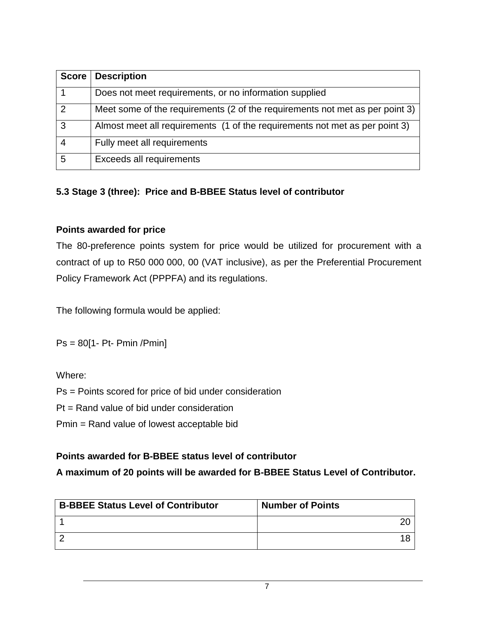| <b>Score</b> | <b>Description</b>                                                           |
|--------------|------------------------------------------------------------------------------|
|              | Does not meet requirements, or no information supplied                       |
| 2            | Meet some of the requirements (2 of the requirements not met as per point 3) |
| 3            | Almost meet all requirements (1 of the requirements not met as per point 3)  |
|              | Fully meet all requirements                                                  |
| 5            | Exceeds all requirements                                                     |

### **5.3 Stage 3 (three): Price and B-BBEE Status level of contributor**

#### **Points awarded for price**

The 80-preference points system for price would be utilized for procurement with a contract of up to R50 000 000, 00 (VAT inclusive), as per the Preferential Procurement Policy Framework Act (PPPFA) and its regulations.

The following formula would be applied:

Ps = 80[1- Pt- Pmin /Pmin]

Where:

Ps = Points scored for price of bid under consideration

Pt = Rand value of bid under consideration

Pmin = Rand value of lowest acceptable bid

### **Points awarded for B-BBEE status level of contributor**

**A maximum of 20 points will be awarded for B-BBEE Status Level of Contributor.**

| <b>B-BBEE Status Level of Contributor</b> | <b>Number of Points</b> |
|-------------------------------------------|-------------------------|
|                                           |                         |
|                                           |                         |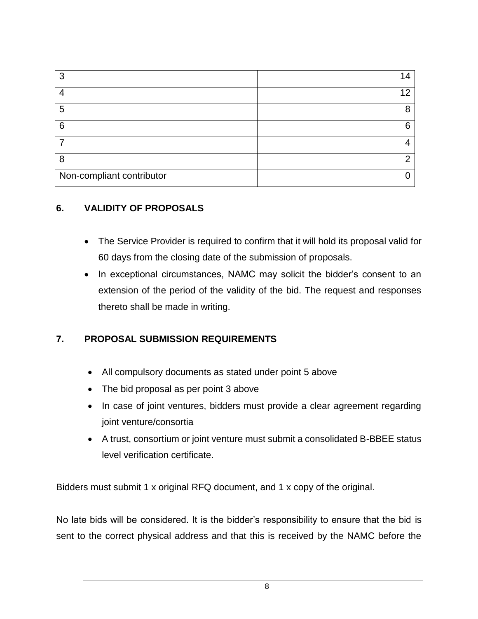| 3                         |    |
|---------------------------|----|
|                           | 1つ |
| 5                         | 8  |
| 6                         | 6  |
|                           |    |
| 8                         | o  |
| Non-compliant contributor |    |

## **6. VALIDITY OF PROPOSALS**

- The Service Provider is required to confirm that it will hold its proposal valid for 60 days from the closing date of the submission of proposals.
- In exceptional circumstances, NAMC may solicit the bidder's consent to an extension of the period of the validity of the bid. The request and responses thereto shall be made in writing.

## **7. PROPOSAL SUBMISSION REQUIREMENTS**

- All compulsory documents as stated under point 5 above
- The bid proposal as per point 3 above
- In case of joint ventures, bidders must provide a clear agreement regarding joint venture/consortia
- A trust, consortium or joint venture must submit a consolidated B-BBEE status level verification certificate.

Bidders must submit 1 x original RFQ document, and 1 x copy of the original.

No late bids will be considered. It is the bidder's responsibility to ensure that the bid is sent to the correct physical address and that this is received by the NAMC before the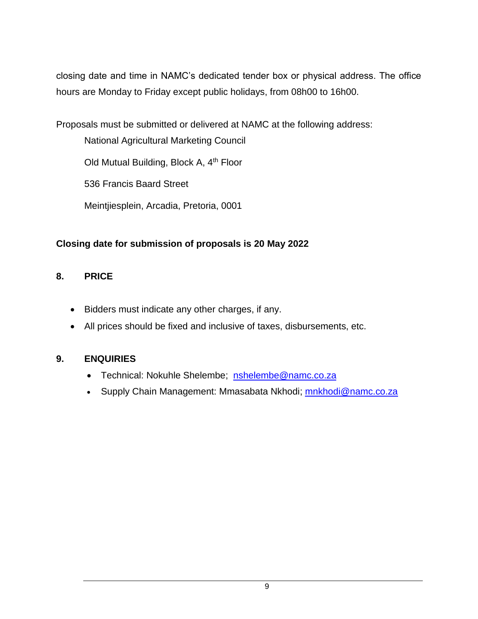closing date and time in NAMC's dedicated tender box or physical address. The office hours are Monday to Friday except public holidays, from 08h00 to 16h00.

Proposals must be submitted or delivered at NAMC at the following address:

National Agricultural Marketing Council

Old Mutual Building, Block A, 4<sup>th</sup> Floor

536 Francis Baard Street

Meintjiesplein, Arcadia, Pretoria, 0001

## **Closing date for submission of proposals is 20 May 2022**

### **8. PRICE**

- Bidders must indicate any other charges, if any.
- All prices should be fixed and inclusive of taxes, disbursements, etc.

### **9. ENQUIRIES**

- Technical: Nokuhle Shelembe; [nshelembe@namc.co.za](mailto:nshelembe@namc.co.za)
- Supply Chain Management: Mmasabata Nkhodi; mnkhodi@namc.co.za